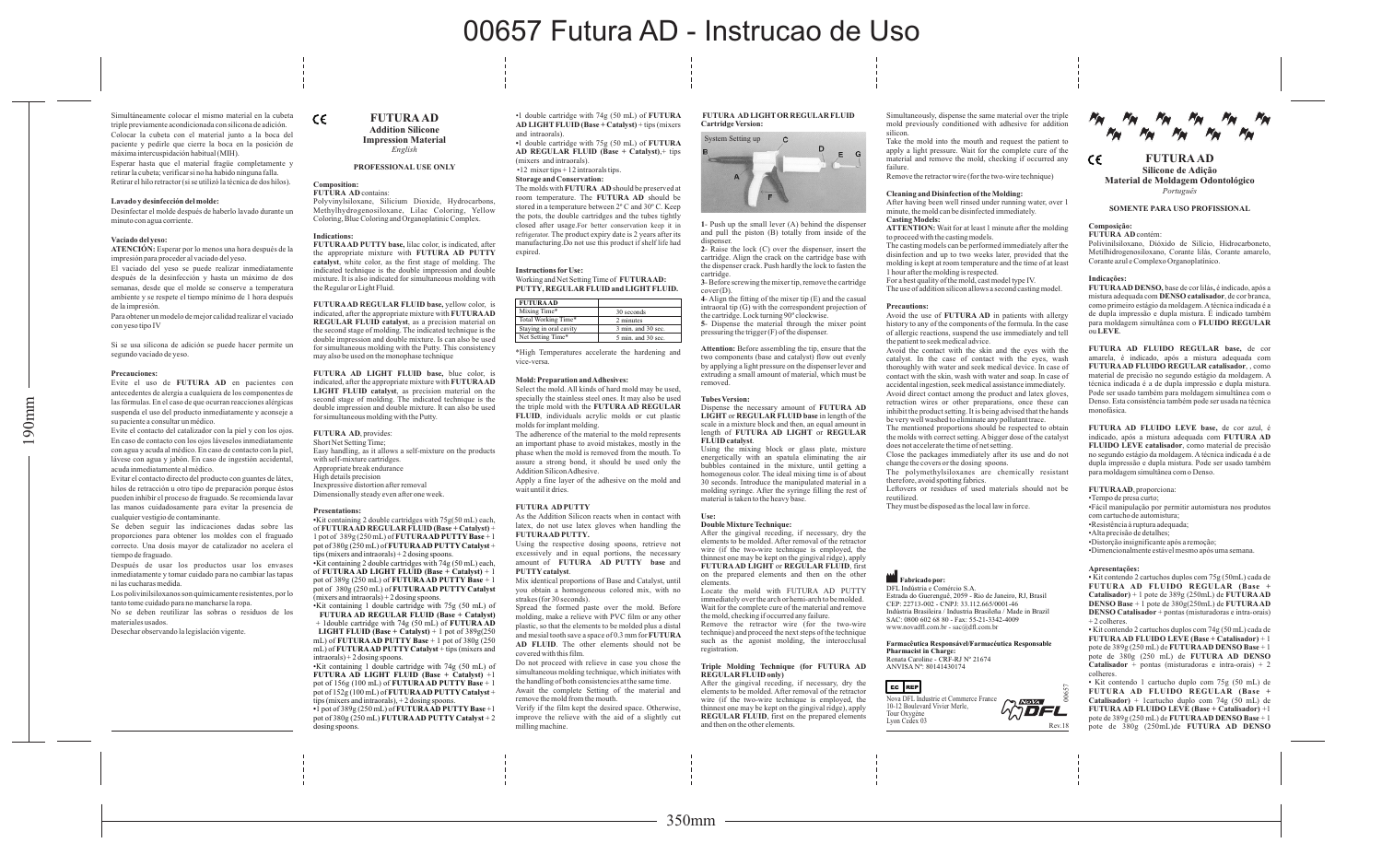# **FUTURAAD**  $\epsilon$ **Silicone de Adição Material de Moldagem Odontológico** *Português*

# **SOMENTE PARA USO PROFISSIONAL**

#### **Composição:**

**FUTURA AD** contém:

Polivinilsiloxano, Dióxido de Silício, Hidrocarboneto, Metilhidrogenosiloxano, Corante lilás, Corante amarelo, Corante azul e Complexo Organoplatínico.

## **Indicações:**

**FUTURAAD DENSO,** base de cor lilás**,** é indicado, após a mistura adequada com **DENSO catalisador**, de cor branca, como primeiro estágio da moldagem. Atécnica indicada é a de dupla impressão e dupla mistura. É indicado também para moldagem simultânea com o **FLUIDO REGULAR** ou **LEVE**.

**FUTURA AD FLUIDO REGULAR base,** de cor amarela, é indicado, após a mistura adequada com **FUTURAAD FLUIDO REGULAR catalisador**, , como material de precisão no segundo estágio da moldagem. A técnica indicada é a de dupla impressão e dupla mistura. Pode ser usado também para moldagem simultânea com o Denso. Esta consistência também pode ser usada na técnica monofásica.

**FUTURA AD FLUIDO LEVE base,** de cor azul, é indicado, após a mistura adequada com **FUTURA AD FLUIDO LEVE catalisador**, como material de precisão no segundo estágio da moldagem. Atécnica indicada é a de dupla impressão e dupla mistura. Pode ser usado também para moldagem simultânea com o Denso.

**FUTURAAD**, proporciona:

•Tempo de presa curto;

•Fácil manipulação por permitir automistura nos produtos

com cartucho de automistura; •Resistência à ruptura adequada;

•Alta precisão de detalhes;

•Distorção insignificante após a remoção;

•Dimencionalmente estável mesmo após uma semana.

#### **Apresentações:**

?Kit contendo 2 cartuchos duplos com 75g (50mL) cada de **FUTURA AD FLUIDO REGULAR (Base + Catalisador)** + 1 pote de 389g (250mL) de **FUTURAAD DENSO Base** + 1 pote de 380g(250mL) de **FUTURAAD DENSO Catalisador** + pontas (misturadoras e intra-orais) + 2 colheres.

?Kit contendo 2 cartuchos duplos com 74g (50 mL) cada de **FUTURAAD FLUIDO LEVE (Base + Catalisador)** + 1 pote de 389g (250 mL) de **FUTURAAD DENSO Base** + 1 pote de 380g (250 mL) de **FUTURA AD DENSO Catalisador** + pontas (misturadoras e intra-orais) + 2 colheres.

? Kit contendo 1 cartucho duplo com 75g (50 mL) de **FUTURA AD FLUIDO REGULAR (Base + Catalisador)** + 1cartucho duplo com 74g (50 mL) de **FUTURAAD FLUIDO LEVE (Base + Catalisador)** +1 pote de 389g (250 mL) de **FUTURAAD DENSO Base** + 1 pote de 380g (250mL)de **FUTURA AD DENSO**

#### **Composition: FUTURA AD** contains

 $\epsilon$ 

Simultáneamente colocar el mismo material en la cubeta triple previamente acondicionada con silicona de adición. Colocar la cubeta con el material junto a la boca del paciente y pedirle que cierre la boca en la posición de máxima intercuspidación habitual (MIH). Esperar hasta que el material fragüe completamente y retirar la cubeta; verificar si no ha habido ninguna falla. Retirar el hilo retractor (si se utilizó la técnica de dos hilos).

#### **Lavado y desinfección del molde:**

Desinfectar el molde después de haberlo lavado durante un minuto con agua corriente.

#### **Vaciado del yeso:**

**ATENCIÓN:** Esperar por lo menos una hora después de la impresión para proceder al vaciado del yeso.

El vaciado del yeso se puede realizar inmediatamente después de la desinfección y hasta un máximo de dos semanas, desde que el molde se conserve a temperatura ambiente y se respete el tiempo mínimo de 1 hora después de la impresión.

Para obtener un modelo de mejor calidad realizar el vaciado con yeso tipo IV

Si se usa silicona de adición se puede hacer permite un segundo vaciado de yeso.

#### **Precauciones:**

Evite el uso de **FUTURA AD** en pacientes con antecedentes de alergia a cualquiera de los componentes de las fórmulas. En el caso de que ocurran reacciones alérgicas suspenda el uso del producto inmediatamente y aconseje a su paciente a consultar un médico.

**•**1 double cartridge with 75g (50 mL) of **FUTURA AD REGULAR FLUID (Base + Catalyst)**,+ tips (mixers and intraorals).  $\bullet$  12 mixer tips  $+12$  intraorals tips.

Evite el contacto del catalizador con la piel y con los ojos. En caso de contacto con los ojos láveselos inmediatamente con agua y acuda al médico. En caso de contacto con la piel, lávese con agua y jabón. En caso de ingestión accidental, acuda inmediatamente al médico.

Evitar el contacto directo del producto con guantes de látex, hilos de retracción u otro tipo de preparación porque éstos pueden inhibir el proceso de fraguado. Se recomienda lavar las manos cuidadosamente para evitar la presencia de cualquier vestigio de contaminante.

Se deben seguir las indicaciones dadas sobre las proporciones para obtener los moldes con el fraguado correcto. Una dosis mayor de catalizador no acelera el tiempo de fraguado.

Después de usar los productos usar los envases inmediatamente y tomar cuidado para no cambiar las tapas ni las cucharas medida.

Los polivinilsiloxanos son químicamente resistentes, por lo tanto tome cuidado para no mancharse la ropa.

No se deben reutilizar las sobras o residuos de los materiales usados.

Desechar observando la legislación vigente.

# **FUTURAAD Addition Silicone Impression Material**

# *English*

**PROFESSIONAL USE ONLY**

Polyvinylsiloxane, Silicium Dioxide, Hydrocarbons,

Methylhydrogenosiloxane, Lilac Coloring, Yellow Coloring, Blue Coloring and Organoplatinic Complex.

**Indications: FUTURAAD PUTTY base,** lilac color, is indicated, after the appropriate mixture with **FUTURA AD PUTTY catalyst**, white color, as the first stage of molding. The indicated technique is the double impression and double mixture. It is also indicated for simultaneous molding with the Regular or Light Fluid.

**FUTURAAD REGULAR FLUID base,** yellow color, is indicated, after the appropriate mixture with **FUTURAAD REGULAR FLUID catalyst**, as a precision material on the second stage of molding. The indicated technique is the double impression and double mixture. Is can also be used for simultaneous molding with the Putty. This consistency may also be used on the monophase technique

## **FUTURA AD LIGHT FLUID base,** blue color, is indicated, after the appropriate mixture with **FUTURAAD**

**LIGHT FLUID catalyst**, as precision material on the second stage of molding. The indicated technique is the double impression and double mixture. It can also be used for simultaneous molding with the Putty.

# **FUTURA AD**, provides:

| Short Net Setting Time:                                    |
|------------------------------------------------------------|
| Easy handling, as it allows a self-mixture on the products |
| with self-mixture cartridges.                              |
| Appropriate break endurance                                |
| High details precision                                     |
| Inexpressive distortion after removal                      |
| Dimensionally steady even after one week.                  |
|                                                            |

#### **Presentations:**

**•**Kit containing 2 double cartridges with 75g(50 mL) each, of **FUTURAAD REGULAR FLUID (Base + Catalyst)** + 1 pot of 389g (250 mL) of **FUTURAAD PUTTYBase** + 1 pot of 380g (250 mL) of **FUTURAAD PUTTY Catalyst** + tips (mixers and intraorals) + 2 dosing spoons.

**ATTENTION:** Wait for at least 1 minute after the molding to proceed with the casting models.

•Kit containing 2 double cartridges with 74g (50 mL) each, of **FUTURA AD LIGHT FLUID (Base + Catalyst)** + 1 pot of 389g (250 mL) of **FUTURAAD PUTTY Base** + 1 pot of 380g (250 mL) of **FUTURAAD PUTTY Catalyst** (mixers and intraorals) + 2 dosing spoons.

•Kit containing 1 double cartridge with 75g (50 mL) of **FUTURA AD REGULAR FLUID (Base + Catalyst)** + 1double cartridge with 74g (50 mL) of **FUTURA AD LIGHT FLUID (Base + Catalyst)** + 1 pot of  $389g(250)$ mL) of **FUTURA AD PUTTY Base**  $+1$  pot of 380g (250 mL) of **FUTURAAD PUTTY Catalyst** + tips (mixers and

inhibit the product setting. It is being advised that the hands be very well washed to eliminate any pollutant trace.

The polymethylsiloxanes are chemically resistant therefore, avoid spotting fabrics.

intraorals) + 2 dosing spoons. •Kit containing 1 double cartridge with 74g (50 mL) of **FUTURA AD LIGHT FLUID (Base + Catalyst)** +1 pot of 156g (100 mL) of **FUTURAAD PUTTY Base** + 1 pot of 152g (100 mL) of **FUTURAAD PUTTYCatalyst** + tips (mixers and intraorals),  $+2$  dosing spo **•**1 pot of 389g (250 mL) of **FUTURAAD PUTTYBase** +1 pot of 380g (250 mL) **FUTURAAD PUTTY Catalyst** + 2

dosing spoons.

•1 double cartridge with 74g (50 mL) of **FUTURA AD LIGHT FLUID (Base + Catalyst)** + tips (mixers andintraorals).

> **ADFL** Rev.18

 $9$  Nova

**Storage and Conservation:**

The molds with **FUTURA AD** should be preserved at room temperature. The **FUTURA AD** should be stored in a temperature between 2º C and 30º C. Keep the pots, the double cartridges and the tubes tightly closed after usage.For better conservation keep it in refrigerator. The product expiry date is 2 years after its manufacturing.Do not use this product if shelf life had expired.

# **Instructions forUse:**  Working and Net Setting Time of **FUTURAAD: PUTTY, REGULAR FLUID and LIGHTFLUID.**

\*High Temperatures accelerate the hardening and vice-versa.

# **Mold: Preparation and Adhesives:**

Select the mold. All kinds of hard mold may be used, specially the stainless steel ones. It may also be used the triple mold with the **FUTURA AD REGULAR FLUID**, individuals acrylic molds or cut plastic molds for implant molding.

The adherence of the material to the mold represents an important phase to avoid mistakes, mostly in the phase when the mold is removed from the mouth. To

assure a strong bond, it should be used only the Addition Silicon Adhesive. Apply a fine layer of the adhesive on the mold and wait until it dries.

# **FUTURA AD PUTTY**

As the Addition Silicon reacts when in contact with latex, do not use latex gloves when handling the **FUTURAAD PUTTY.** 

Using the respective dosing spoons, retrieve not excessively and in equal portions, the necessary amount of **FUTURA AD PUTTY base** and **PUTTYcatalyst**.

Mix identical proportions of Base and Catalyst, until you obtain a homogeneous colored mix, with no strakes (for 30 seconds).

Spread the formed paste over the mold. Before molding, make a relieve with PVC film or any other plastic, so that the elements to be molded plus a distal and mesial tooth save a space of 0.3 mm for **FUTURA AD FLUID**. The other elements should not be covered with this film.

Do not proceed with relieve in case you chose the simultaneous molding technique, which initiates with the handling of both consistencies at the same time. Await the complete Setting of the material and remove the mold from the mouth.

Verify if the film kept the desired space. Otherwise, improve the relieve with the aid of a slightly cut milling machine.

# **FUTURA AD LIGHTOR REGULAR FLUID Cartridge Version:**

**1**- Push up the small lever (A) behind the dispenser and pull the piston (B) totally from inside of the

dispenser. **2**- Raise the lock (C) over the dispenser, insert the cartridge. Align the crack on the cartridge base with the dispenser crack. Push hardly the lock to fasten the cartridge.

**3**- Before screwing the mixer tip, remove the cartridge cover (D).

**4**- Align the fitting of the mixer tip (E) and the casual intraoral tip (G) with the correspondent projection of the cartridge. Lock turning 90º clockwise.

**5**- Dispense the material through the mixer point pressuring the trigger (F) of the dispenser.

**Attention:** Before assembling the tip, ensure that the two components (base and catalyst) flow out evenly by applying a light pressure on the dispenser lever and extruding a small amount of material, which must be removed.

# **Tubes Version:**

Dispense the necessary amount of **FUTURA AD LIGHT** or **REGULAR FLUID base** in length of the scale in a mixture block and then, an equal amount in length of **FUTURA AD LIGHT** or **REGULAR FLUID catalyst**.

Using the mixing block or glass plate, mixture energetically with an spatula eliminating the air bubbles contained in the mixture, until getting a homogenous color. The ideal mixing time is of about 30 seconds. Introduce the manipulated material in a molding syringe. After the syringe filling the rest of material is taken to the heavy base.

# **Use: Double Mixture Technique:**

After the gingival receding, if necessary, dry the elements to be molded. After removal of the retractor wire (if the two-wire technique is employed, the thinnest one may be kept on the gingival ridge), apply **FUTURAAD LIGHT** or **REGULAR FLUID**, first on the prepared elements and then on the other elements.

Locate the mold with FUTURA AD PUTTY immediately over the arch or hemi-arch to be molded. Wait for the complete cure of the material and remove the mold, checking if occurred any failure.

Remove the retractor wire (for the two-wire technique) and proceed the next steps of the technique such as the agonist molding, the interocclusal registration.

#### **Triple Molding Technique (for FUTURA AD REGULAR FLUID only)**

After the gingival receding, if necessary, dry the elements to be molded. After removal of the retractor wire (if the two-wire technique is employed, the thinnest one may be kept on the gingival ridge), apply **REGULAR FLUID**, first on the prepared elements and then on the other elements.

Simultaneously, dispense the same material over the triple mold previously conditioned with adhesive for addition silicon.

Take the mold into the mouth and request the patient to apply a light pressure. Wait for the complete cure of the material and remove the mold, checking if occurred any failure.

Remove the retractor wire (for the two-wire technique)

# **Cleaning and Disinfection of the Molding:**

After having been well rinsed under running water, over 1 minute, the mold can be disinfected immediately. **Casting Models:**

The casting models can be performed immediately after the disinfection and up to two weeks later, provided that the molding is kept at room temperature and the time of at least 1 hour after the molding is respected.

For a best quality of the mold, cast model type IV. The use of addition silicon allows a second casting model.

#### **Precautions:**

Avoid the use of **FUTURA AD** in patients with allergy history to any of the components of the formula. In the case of allergic reactions, suspend the use immediately and tell the patient to seek medical advice.

Avoid the contact with the skin and the eyes with the catalyst. In the case of contact with the eyes, wash thoroughly with water and seek medical device. In case of contact with the skin, wash with water and soap. In case of accidental ingestion, seek medical assistance immediately. Avoid direct contact among the product and latex gloves, retraction wires or other preparations, once these can

The mentioned proportions should be respected to obtain the molds with correct setting. Abigger dose of the catalyst does not accelerate the time of net setting.

Close the packages immediately after its use and do not change the covers or the dosing spoons.

Leftovers or residues of used materials should not be reutilized.

They must be disposed as the local law in force.

| <b>FUTURA AD</b>       |                    |
|------------------------|--------------------|
| Mixing Time*           | 30 seconds         |
| Total Working Time*    | 2 minutes          |
| Staying in oral cavity | 3 min. and 30 sec. |
| Net Setting Time*      | 5 min. and 30 sec. |



# **Fabricado por:** DFL Indústria e Comércio S.A.

Estrada do Guerenguê, 2059 - Rio de Janeiro, RJ, Brasil CEP: 22713-002 - CNPJ: 33.112.665/0001-46 Indústria Brasileira / Industria Brasileña / Made in Brazil SAC: 0800 602 68 80 - Fax: 55-21-3342-4009 www.novadfl.com.br - sac@dfl.com.br

**Farmacêutica Responsável/Farmacéutica Responsable Pharmacist in Charge:** Renata Caroline - CRF-RJ Nº 21674 ANVISA Nº: 80141430174

EC REP Nova DFL Industrie et Commerce France 10-12 Boulevard Vivier Merle, Tour Oxygène Lyon Cedex 03

00657

# 00657 Futura AD - Instrucao de Uso

190mm

350mm